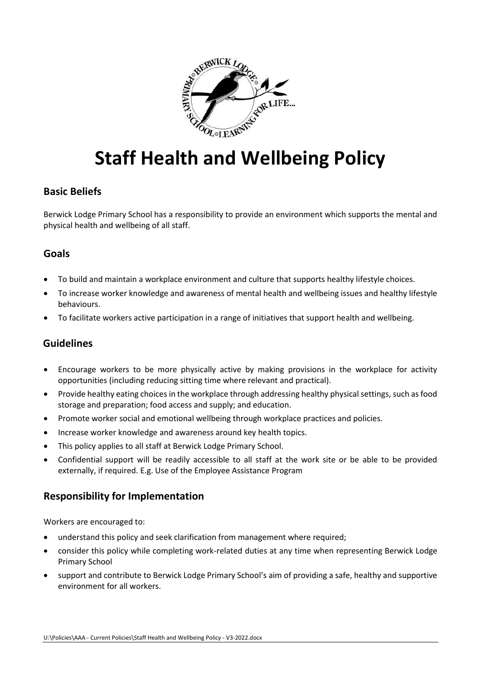

# **Staff Health and Wellbeing Policy**

# **Basic Beliefs**

Berwick Lodge Primary School has a responsibility to provide an environment which supports the mental and physical health and wellbeing of all staff.

## **Goals**

- To build and maintain a workplace environment and culture that supports healthy lifestyle choices.
- To increase worker knowledge and awareness of mental health and wellbeing issues and healthy lifestyle behaviours.
- To facilitate workers active participation in a range of initiatives that support health and wellbeing.

## **Guidelines**

- Encourage workers to be more physically active by making provisions in the workplace for activity opportunities (including reducing sitting time where relevant and practical).
- Provide healthy eating choices in the workplace through addressing healthy physical settings, such as food storage and preparation; food access and supply; and education.
- Promote worker social and emotional wellbeing through workplace practices and policies.
- Increase worker knowledge and awareness around key health topics.
- This policy applies to all staff at Berwick Lodge Primary School.
- Confidential support will be readily accessible to all staff at the work site or be able to be provided externally, if required. E.g. Use of the Employee Assistance Program

#### **Responsibility for Implementation**

Workers are encouraged to:

- understand this policy and seek clarification from management where required;
- consider this policy while completing work-related duties at any time when representing Berwick Lodge Primary School
- support and contribute to Berwick Lodge Primary School's aim of providing a safe, healthy and supportive environment for all workers.